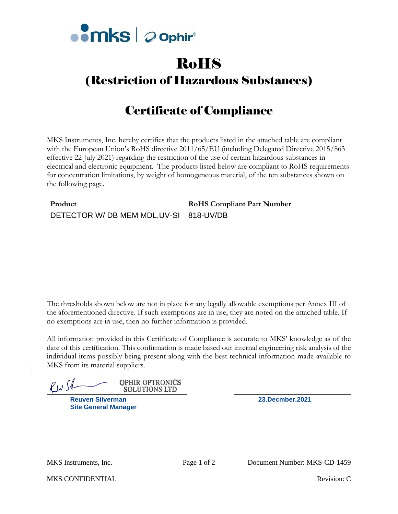

# RoHS

## (Restriction of Hazardous Substances)

# Certificate of Compliance

MKS Instruments, Inc. hereby certifies that the products listed in the attached table are compliant with the European Union's RoHS directive 2011/65/EU (including Delegated Directive 2015/863 effective 22 July 2021) regarding the restriction of the use of certain hazardous substances in electrical and electronic equipment. The products listed below are compliant to RoHS requirements for concentration limitations, by weight of homogeneous material, of the ten substances shown on the following page.

### **Product RoHS Compliant Part Number** DETECTOR W/ DB MEM MDL, UV-SI 818-UV/DB

The thresholds shown below are not in place for any legally allowable exemptions per Annex III of the aforementioned directive. If such exemptions are in use, they are noted on the attached table. If no exemptions are in use, then no further information is provided.

All information provided in this Certificate of Compliance is accurate to MKS' knowledge as of the date of this certification. This confirmation is made based our internal engineering risk analysis of the individual items possibly being present along with the best technical information made available to MKS from its material suppliers.

**OPHIR OPTRONICS**  $\bigcup_{\mathcal{U}}$ 

**Reuven Silverman 23.Decmber.2021 Site General Manager**

MKS CONFIDENTIAL **Revision:** C